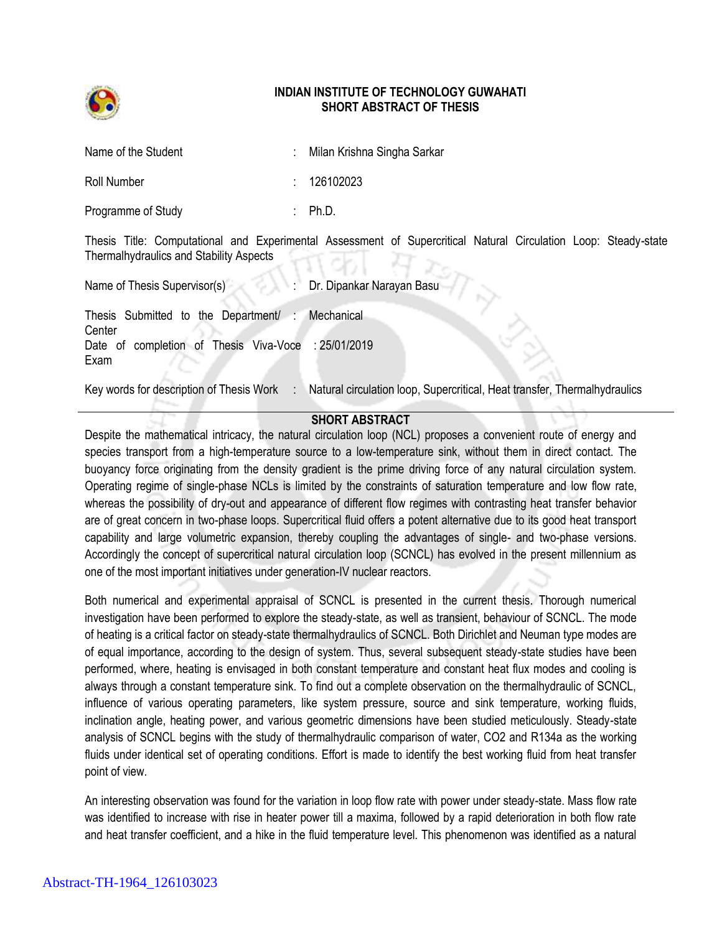

## **INDIAN INSTITUTE OF TECHNOLOGY GUWAHATI SHORT ABSTRACT OF THESIS**

| Name of the Student | : Milan Krishna Singha Sarkar |
|---------------------|-------------------------------|
| Roll Number         | : 126102023                   |
| Programme of Study  | : $Ph.D.$                     |

Thesis Title: Computational and Experimental Assessment of Supercritical Natural Circulation Loop: Steady-state Thermalhydraulics and Stability Aspects

Name of Thesis Supervisor(s) : Dr. Dipankar Narayan Basu

Thesis Submitted to the Department/ **Center Mechanical** Date of completion of Thesis Viva-Voce : 25/01/2019 Exam

Key words for description of Thesis Work : Natural circulation loop, Supercritical, Heat transfer, Thermalhydraulics

## **SHORT ABSTRACT**

Despite the mathematical intricacy, the natural circulation loop (NCL) proposes a convenient route of energy and species transport from a high-temperature source to a low-temperature sink, without them in direct contact. The buoyancy force originating from the density gradient is the prime driving force of any natural circulation system. Operating regime of single-phase NCLs is limited by the constraints of saturation temperature and low flow rate, whereas the possibility of dry-out and appearance of different flow regimes with contrasting heat transfer behavior are of great concern in two-phase loops. Supercritical fluid offers a potent alternative due to its good heat transport capability and large volumetric expansion, thereby coupling the advantages of single- and two-phase versions. Accordingly the concept of supercritical natural circulation loop (SCNCL) has evolved in the present millennium as one of the most important initiatives under generation-IV nuclear reactors.

Both numerical and experimental appraisal of SCNCL is presented in the current thesis. Thorough numerical investigation have been performed to explore the steady-state, as well as transient, behaviour of SCNCL. The mode of heating is a critical factor on steady-state thermalhydraulics of SCNCL. Both Dirichlet and Neuman type modes are of equal importance, according to the design of system. Thus, several subsequent steady-state studies have been performed, where, heating is envisaged in both constant temperature and constant heat flux modes and cooling is always through a constant temperature sink. To find out a complete observation on the thermalhydraulic of SCNCL, influence of various operating parameters, like system pressure, source and sink temperature, working fluids, inclination angle, heating power, and various geometric dimensions have been studied meticulously. Steady-state analysis of SCNCL begins with the study of thermalhydraulic comparison of water, CO2 and R134a as the working fluids under identical set of operating conditions. Effort is made to identify the best working fluid from heat transfer point of view.

An interesting observation was found for the variation in loop flow rate with power under steady-state. Mass flow rate was identified to increase with rise in heater power till a maxima, followed by a rapid deterioration in both flow rate and heat transfer coefficient, and a hike in the fluid temperature level. This phenomenon was identified as a natural